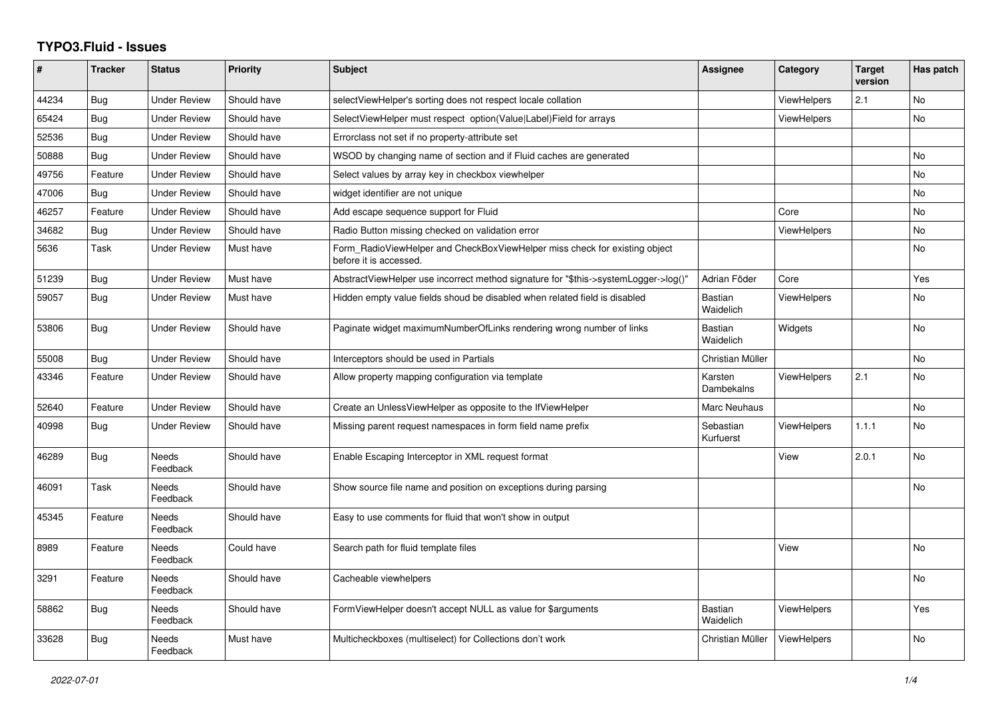## **TYPO3.Fluid - Issues**

| #     | <b>Tracker</b> | <b>Status</b>            | <b>Priority</b> | <b>Subject</b>                                                                                       | Assignee                    | Category           | <b>Target</b><br>version | Has patch      |
|-------|----------------|--------------------------|-----------------|------------------------------------------------------------------------------------------------------|-----------------------------|--------------------|--------------------------|----------------|
| 44234 | <b>Bug</b>     | <b>Under Review</b>      | Should have     | selectViewHelper's sorting does not respect locale collation                                         |                             | <b>ViewHelpers</b> | 2.1                      | <b>No</b>      |
| 65424 | <b>Bug</b>     | Under Review             | Should have     | SelectViewHelper must respect option(Value Label)Field for arrays                                    |                             | ViewHelpers        |                          | <b>No</b>      |
| 52536 | <b>Bug</b>     | <b>Under Review</b>      | Should have     | Errorclass not set if no property-attribute set                                                      |                             |                    |                          |                |
| 50888 | Bug            | <b>Under Review</b>      | Should have     | WSOD by changing name of section and if Fluid caches are generated                                   |                             |                    |                          | <b>No</b>      |
| 49756 | Feature        | Under Review             | Should have     | Select values by array key in checkbox viewhelper                                                    |                             |                    |                          | <b>No</b>      |
| 47006 | Bug            | <b>Under Review</b>      | Should have     | widget identifier are not unique                                                                     |                             |                    |                          | <b>No</b>      |
| 46257 | Feature        | <b>Under Review</b>      | Should have     | Add escape sequence support for Fluid                                                                |                             | Core               |                          | <b>No</b>      |
| 34682 | Bug            | Under Review             | Should have     | Radio Button missing checked on validation error                                                     |                             | ViewHelpers        |                          | N <sub>o</sub> |
| 5636  | Task           | Under Review             | Must have       | Form RadioViewHelper and CheckBoxViewHelper miss check for existing object<br>before it is accessed. |                             |                    |                          | <b>No</b>      |
| 51239 | Bug            | <b>Under Review</b>      | Must have       | AbstractViewHelper use incorrect method signature for "\$this->systemLogger->log()"                  | Adrian Föder                | Core               |                          | Yes            |
| 59057 | <b>Bug</b>     | <b>Under Review</b>      | Must have       | Hidden empty value fields shoud be disabled when related field is disabled                           | Bastian<br>Waidelich        | <b>ViewHelpers</b> |                          | <b>No</b>      |
| 53806 | Bug            | <b>Under Review</b>      | Should have     | Paginate widget maximumNumberOfLinks rendering wrong number of links                                 | <b>Bastian</b><br>Waidelich | Widgets            |                          | <b>No</b>      |
| 55008 | <b>Bug</b>     | Under Review             | Should have     | Interceptors should be used in Partials                                                              | Christian Müller            |                    |                          | No             |
| 43346 | Feature        | <b>Under Review</b>      | Should have     | Allow property mapping configuration via template                                                    | Karsten<br>Dambekalns       | <b>ViewHelpers</b> | 2.1                      | <b>No</b>      |
| 52640 | Feature        | <b>Under Review</b>      | Should have     | Create an UnlessViewHelper as opposite to the IfViewHelper                                           | Marc Neuhaus                |                    |                          | <b>No</b>      |
| 40998 | <b>Bug</b>     | <b>Under Review</b>      | Should have     | Missing parent request namespaces in form field name prefix                                          | Sebastian<br>Kurfuerst      | <b>ViewHelpers</b> | 1.1.1                    | No             |
| 46289 | <b>Bug</b>     | <b>Needs</b><br>Feedback | Should have     | Enable Escaping Interceptor in XML request format                                                    |                             | View               | 2.0.1                    | <b>No</b>      |
| 46091 | Task           | Needs<br>Feedback        | Should have     | Show source file name and position on exceptions during parsing                                      |                             |                    |                          | <b>No</b>      |
| 45345 | Feature        | Needs<br>Feedback        | Should have     | Easy to use comments for fluid that won't show in output                                             |                             |                    |                          |                |
| 8989  | Feature        | Needs<br>Feedback        | Could have      | Search path for fluid template files                                                                 |                             | View               |                          | <b>No</b>      |
| 3291  | Feature        | <b>Needs</b><br>Feedback | Should have     | Cacheable viewhelpers                                                                                |                             |                    |                          | <b>No</b>      |
| 58862 | <b>Bug</b>     | <b>Needs</b><br>Feedback | Should have     | FormViewHelper doesn't accept NULL as value for \$arguments                                          | <b>Bastian</b><br>Waidelich | ViewHelpers        |                          | Yes            |
| 33628 | <b>Bug</b>     | Needs<br>Feedback        | Must have       | Multicheckboxes (multiselect) for Collections don't work                                             | Christian Müller            | ViewHelpers        |                          | <b>No</b>      |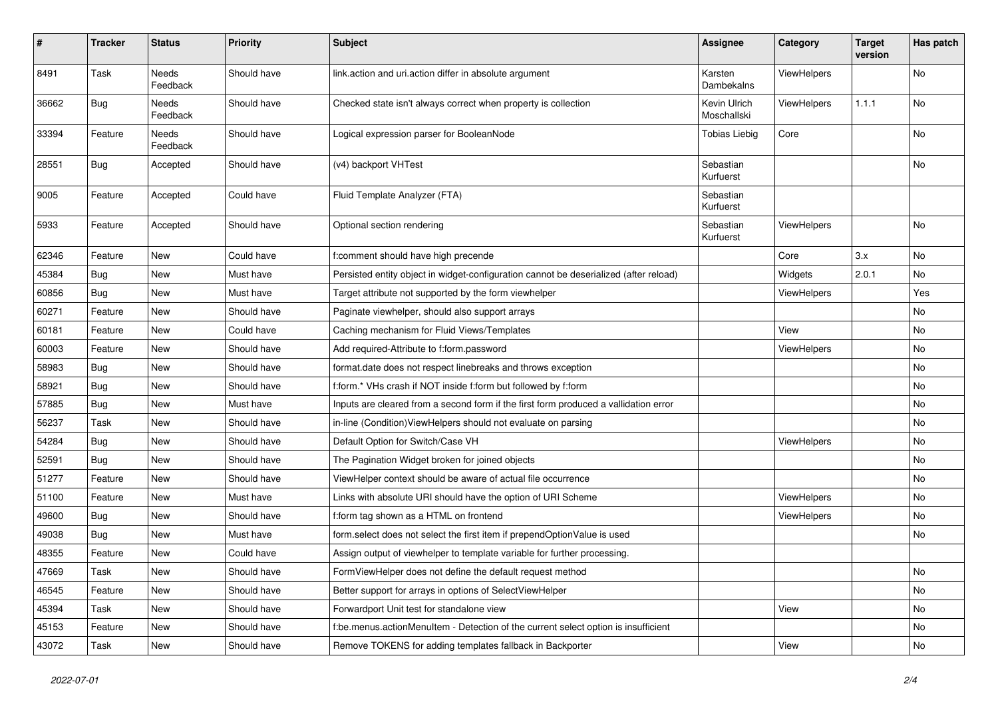| #     | <b>Tracker</b> | <b>Status</b>            | <b>Priority</b> | <b>Subject</b>                                                                        | <b>Assignee</b>             | Category    | <b>Target</b><br>version | Has patch |
|-------|----------------|--------------------------|-----------------|---------------------------------------------------------------------------------------|-----------------------------|-------------|--------------------------|-----------|
| 8491  | Task           | <b>Needs</b><br>Feedback | Should have     | link.action and uri.action differ in absolute argument                                | Karsten<br>Dambekalns       | ViewHelpers |                          | No        |
| 36662 | <b>Bug</b>     | Needs<br>Feedback        | Should have     | Checked state isn't always correct when property is collection                        | Kevin Ulrich<br>Moschallski | ViewHelpers | 1.1.1                    | No        |
| 33394 | Feature        | Needs<br>Feedback        | Should have     | Logical expression parser for BooleanNode                                             | <b>Tobias Liebig</b>        | Core        |                          | No        |
| 28551 | Bug            | Accepted                 | Should have     | (v4) backport VHTest                                                                  | Sebastian<br>Kurfuerst      |             |                          | No        |
| 9005  | Feature        | Accepted                 | Could have      | Fluid Template Analyzer (FTA)                                                         | Sebastian<br>Kurfuerst      |             |                          |           |
| 5933  | Feature        | Accepted                 | Should have     | Optional section rendering                                                            | Sebastian<br>Kurfuerst      | ViewHelpers |                          | No        |
| 62346 | Feature        | New                      | Could have      | f:comment should have high precende                                                   |                             | Core        | 3.x                      | No        |
| 45384 | Bug            | New                      | Must have       | Persisted entity object in widget-configuration cannot be deserialized (after reload) |                             | Widgets     | 2.0.1                    | No        |
| 60856 | Bug            | New                      | Must have       | Target attribute not supported by the form viewhelper                                 |                             | ViewHelpers |                          | Yes       |
| 60271 | Feature        | New                      | Should have     | Paginate viewhelper, should also support arrays                                       |                             |             |                          | No        |
| 60181 | Feature        | New                      | Could have      | Caching mechanism for Fluid Views/Templates                                           |                             | View        |                          | No        |
| 60003 | Feature        | New                      | Should have     | Add required-Attribute to f:form.password                                             |                             | ViewHelpers |                          | No        |
| 58983 | Bug            | New                      | Should have     | format.date does not respect linebreaks and throws exception                          |                             |             |                          | No        |
| 58921 | Bug            | New                      | Should have     | f:form.* VHs crash if NOT inside f:form but followed by f:form                        |                             |             |                          | No        |
| 57885 | Bug            | New                      | Must have       | Inputs are cleared from a second form if the first form produced a vallidation error  |                             |             |                          | No        |
| 56237 | Task           | New                      | Should have     | in-line (Condition) View Helpers should not evaluate on parsing                       |                             |             |                          | No        |
| 54284 | Bug            | New                      | Should have     | Default Option for Switch/Case VH                                                     |                             | ViewHelpers |                          | No        |
| 52591 | Bug            | New                      | Should have     | The Pagination Widget broken for joined objects                                       |                             |             |                          | No        |
| 51277 | Feature        | New                      | Should have     | ViewHelper context should be aware of actual file occurrence                          |                             |             |                          | No        |
| 51100 | Feature        | New                      | Must have       | Links with absolute URI should have the option of URI Scheme                          |                             | ViewHelpers |                          | No        |
| 49600 | Bug            | New                      | Should have     | f:form tag shown as a HTML on frontend                                                |                             | ViewHelpers |                          | No        |
| 49038 | Bug            | New                      | Must have       | form.select does not select the first item if prependOptionValue is used              |                             |             |                          | No        |
| 48355 | Feature        | New                      | Could have      | Assign output of viewhelper to template variable for further processing.              |                             |             |                          |           |
| 47669 | Task           | New                      | Should have     | FormViewHelper does not define the default request method                             |                             |             |                          | No        |
| 46545 | Feature        | New                      | Should have     | Better support for arrays in options of SelectViewHelper                              |                             |             |                          | No        |
| 45394 | Task           | New                      | Should have     | Forwardport Unit test for standalone view                                             |                             | View        |                          | No        |
| 45153 | Feature        | New                      | Should have     | f:be.menus.actionMenuItem - Detection of the current select option is insufficient    |                             |             |                          | No        |
| 43072 | Task           | New                      | Should have     | Remove TOKENS for adding templates fallback in Backporter                             |                             | View        |                          | No        |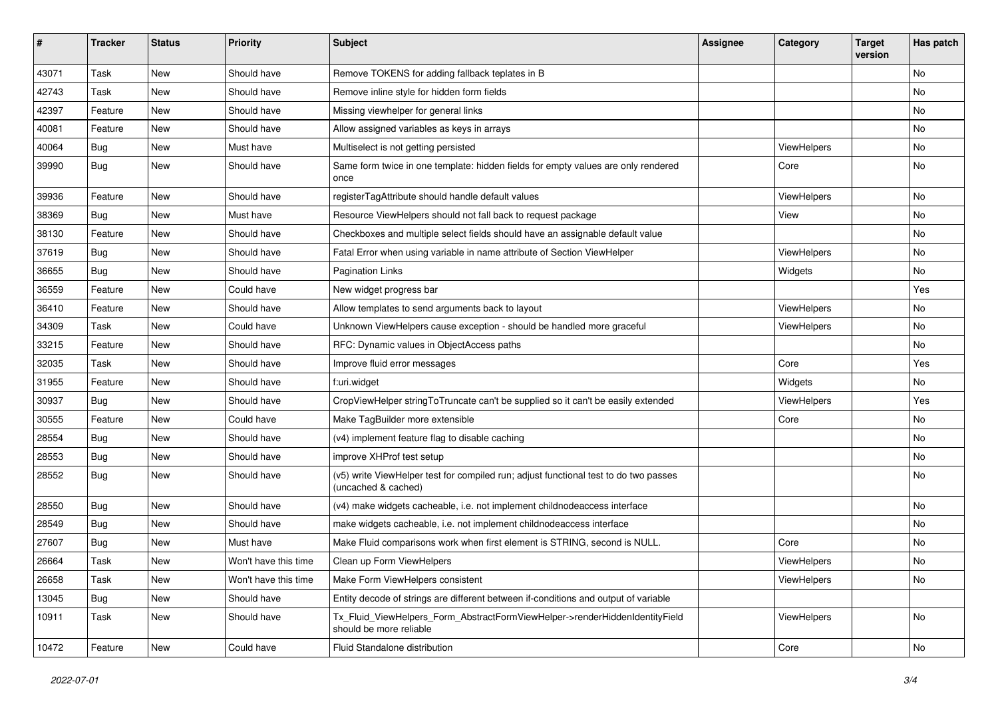| $\sharp$ | <b>Tracker</b> | <b>Status</b> | <b>Priority</b>      | Subject                                                                                                     | <b>Assignee</b> | Category    | <b>Target</b><br>version | Has patch |
|----------|----------------|---------------|----------------------|-------------------------------------------------------------------------------------------------------------|-----------------|-------------|--------------------------|-----------|
| 43071    | Task           | New           | Should have          | Remove TOKENS for adding fallback teplates in B                                                             |                 |             |                          | <b>No</b> |
| 42743    | Task           | New           | Should have          | Remove inline style for hidden form fields                                                                  |                 |             |                          | No        |
| 42397    | Feature        | New           | Should have          | Missing viewhelper for general links                                                                        |                 |             |                          | <b>No</b> |
| 40081    | Feature        | New           | Should have          | Allow assigned variables as keys in arrays                                                                  |                 |             |                          | No        |
| 40064    | Bug            | New           | Must have            | Multiselect is not getting persisted                                                                        |                 | ViewHelpers |                          | No        |
| 39990    | Bug            | New           | Should have          | Same form twice in one template: hidden fields for empty values are only rendered<br>once                   |                 | Core        |                          | No        |
| 39936    | Feature        | New           | Should have          | registerTagAttribute should handle default values                                                           |                 | ViewHelpers |                          | No        |
| 38369    | Bug            | New           | Must have            | Resource ViewHelpers should not fall back to request package                                                |                 | View        |                          | No        |
| 38130    | Feature        | New           | Should have          | Checkboxes and multiple select fields should have an assignable default value                               |                 |             |                          | No        |
| 37619    | Bug            | New           | Should have          | Fatal Error when using variable in name attribute of Section ViewHelper                                     |                 | ViewHelpers |                          | <b>No</b> |
| 36655    | Bug            | New           | Should have          | <b>Pagination Links</b>                                                                                     |                 | Widgets     |                          | No        |
| 36559    | Feature        | New           | Could have           | New widget progress bar                                                                                     |                 |             |                          | Yes       |
| 36410    | Feature        | New           | Should have          | Allow templates to send arguments back to layout                                                            |                 | ViewHelpers |                          | No        |
| 34309    | Task           | New           | Could have           | Unknown ViewHelpers cause exception - should be handled more graceful                                       |                 | ViewHelpers |                          | No        |
| 33215    | Feature        | New           | Should have          | RFC: Dynamic values in ObjectAccess paths                                                                   |                 |             |                          | No        |
| 32035    | Task           | New           | Should have          | Improve fluid error messages                                                                                |                 | Core        |                          | Yes       |
| 31955    | Feature        | New           | Should have          | f:uri.widget                                                                                                |                 | Widgets     |                          | No        |
| 30937    | Bug            | New           | Should have          | CropViewHelper stringToTruncate can't be supplied so it can't be easily extended                            |                 | ViewHelpers |                          | Yes       |
| 30555    | Feature        | New           | Could have           | Make TagBuilder more extensible                                                                             |                 | Core        |                          | No        |
| 28554    | Bug            | New           | Should have          | (v4) implement feature flag to disable caching                                                              |                 |             |                          | No        |
| 28553    | Bug            | New           | Should have          | improve XHProf test setup                                                                                   |                 |             |                          | No        |
| 28552    | Bug            | New           | Should have          | (v5) write ViewHelper test for compiled run; adjust functional test to do two passes<br>(uncached & cached) |                 |             |                          | No        |
| 28550    | Bug            | New           | Should have          | (v4) make widgets cacheable, i.e. not implement childnodeaccess interface                                   |                 |             |                          | No        |
| 28549    | Bug            | New           | Should have          | make widgets cacheable, i.e. not implement childnodeaccess interface                                        |                 |             |                          | <b>No</b> |
| 27607    | <b>Bug</b>     | New           | Must have            | Make Fluid comparisons work when first element is STRING, second is NULL.                                   |                 | Core        |                          | No        |
| 26664    | Task           | New           | Won't have this time | Clean up Form ViewHelpers                                                                                   |                 | ViewHelpers |                          | No        |
| 26658    | Task           | New           | Won't have this time | Make Form ViewHelpers consistent                                                                            |                 | ViewHelpers |                          | No        |
| 13045    | <b>Bug</b>     | New           | Should have          | Entity decode of strings are different between if-conditions and output of variable                         |                 |             |                          |           |
| 10911    | Task           | New           | Should have          | Tx Fluid ViewHelpers Form AbstractFormViewHelper->renderHiddenIdentityField<br>should be more reliable      |                 | ViewHelpers |                          | No        |
| 10472    | Feature        | New           | Could have           | Fluid Standalone distribution                                                                               |                 | Core        |                          | No        |